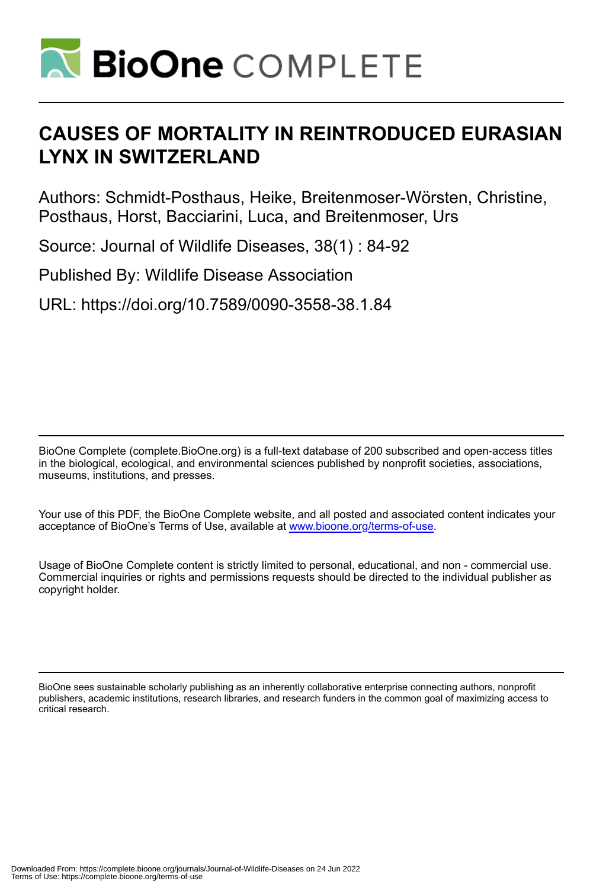

# **CAUSES OF MORTALITY IN REINTRODUCED EURASIAN LYNX IN SWITZERLAND**

Authors: Schmidt-Posthaus, Heike, Breitenmoser-Wörsten, Christine, Posthaus, Horst, Bacciarini, Luca, and Breitenmoser, Urs

Source: Journal of Wildlife Diseases, 38(1) : 84-92

Published By: Wildlife Disease Association

URL: https://doi.org/10.7589/0090-3558-38.1.84

BioOne Complete (complete.BioOne.org) is a full-text database of 200 subscribed and open-access titles in the biological, ecological, and environmental sciences published by nonprofit societies, associations, museums, institutions, and presses.

Your use of this PDF, the BioOne Complete website, and all posted and associated content indicates your acceptance of BioOne's Terms of Use, available at www.bioone.org/terms-of-use.

Usage of BioOne Complete content is strictly limited to personal, educational, and non - commercial use. Commercial inquiries or rights and permissions requests should be directed to the individual publisher as copyright holder.

BioOne sees sustainable scholarly publishing as an inherently collaborative enterprise connecting authors, nonprofit publishers, academic institutions, research libraries, and research funders in the common goal of maximizing access to critical research.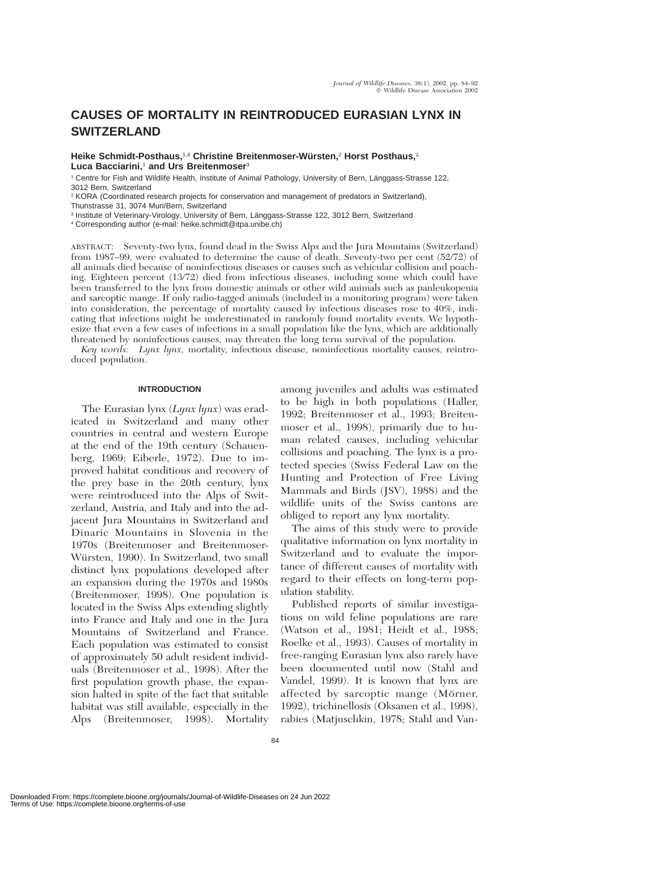# **CAUSES OF MORTALITY IN REINTRODUCED EURASIAN LYNX IN SWITZERLAND**

**Heike Schmidt-Posthaus,**1,4 **Christine Breitenmoser-Wu¨rsten,**<sup>2</sup> **Horst Posthaus,**<sup>1</sup> **Luca Bacciarini,**<sup>1</sup> **and Urs Breitenmoser**<sup>3</sup>

1 Centre for Fish and Wildlife Health, Institute of Animal Pathology, University of Bern, Länggass-Strasse 122, 3012 Bern, Switzerland

<sup>2</sup> KORA (Coordinated research projects for conservation and management of predators in Switzerland), Thunstrasse 31, 3074 Muri/Bern, Switzerland

<sup>3</sup> Institute of Veterinary-Virology, University of Bern, Länggass-Strasse 122, 3012 Bern, Switzerland

<sup>4</sup> Corresponding author (e-mail: heike.schmidt@itpa.unibe.ch)

ABSTRACT: Seventy-two lynx, found dead in the Swiss Alps and the Jura Mountains (Switzerland) from 1987–99, were evaluated to determine the cause of death. Seventy-two per cent (52/72) of all animals died because of noninfectious diseases or causes such as vehicular collision and poaching. Eighteen percent (13/72) died from infectious diseases, including some which could have been transferred to the lynx from domestic animals or other wild animals such as panleukopenia and sarcoptic mange. If only radio-tagged animals (included in a monitoring program) were taken into consideration, the percentage of mortality caused by infectious diseases rose to 40%, indicating that infections might be underestimated in randomly found mortality events. We hypothesize that even a few cases of infections in a small population like the lynx, which are additionally threatened by noninfectious causes, may threaten the long term survival of the population.

*Key words: Lynx lynx,* mortality, infectious disease, noninfectious mortality causes, reintroduced population.

### **INTRODUCTION**

The Eurasian lynx (*Lynx lynx*) was eradicated in Switzerland and many other countries in central and western Europe at the end of the 19th century (Schauenberg, 1969; Eiberle, 1972). Due to improved habitat conditions and recovery of the prey base in the 20th century, lynx were reintroduced into the Alps of Switzerland, Austria, and Italy and into the adjacent Jura Mountains in Switzerland and Dinaric Mountains in Slovenia in the 1970s (Breitenmoser and Breitenmoser-Würsten, 1990). In Switzerland, two small distinct lynx populations developed after an expansion during the 1970s and 1980s (Breitenmoser, 1998). One population is located in the Swiss Alps extending slightly into France and Italy and one in the Jura Mountains of Switzerland and France. Each population was estimated to consist of approximately 50 adult resident individuals (Breitenmoser et al., 1998). After the first population growth phase, the expansion halted in spite of the fact that suitable habitat was still available, especially in the Alps (Breitenmoser, 1998). Mortality

among juveniles and adults was estimated to be high in both populations (Haller, 1992; Breitenmoser et al., 1993; Breitenmoser et al., 1998), primarily due to human related causes, including vehicular collisions and poaching. The lynx is a protected species (Swiss Federal Law on the Hunting and Protection of Free Living Mammals and Birds (JSV), 1988) and the wildlife units of the Swiss cantons are obliged to report any lynx mortality.

The aims of this study were to provide qualitative information on lynx mortality in Switzerland and to evaluate the importance of different causes of mortality with regard to their effects on long-term population stability.

Published reports of similar investigations on wild feline populations are rare (Watson et al., 1981; Heidt et al., 1988; Roelke et al., 1993). Causes of mortality in free-ranging Eurasian lynx also rarely have been documented until now (Stahl and Vandel, 1999). It is known that lynx are affected by sarcoptic mange (Mörner, 1992), trichinellosis (Oksanen et al., 1998), rabies (Matjuschkin, 1978; Stahl and Van-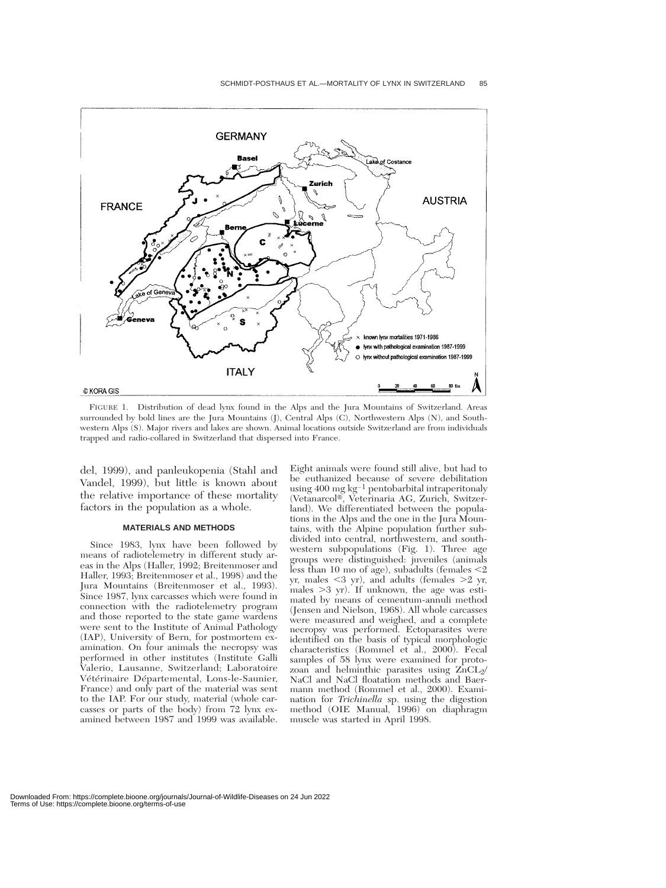

FIGURE 1. Distribution of dead lynx found in the Alps and the Jura Mountains of Switzerland. Areas surrounded by bold lines are the Jura Mountains (J), Central Alps (C), Northwestern Alps (N), and Southwestern Alps (S). Major rivers and lakes are shown. Animal locations outside Switzerland are from individuals trapped and radio-collared in Switzerland that dispersed into France.

del, 1999), and panleukopenia (Stahl and Vandel, 1999), but little is known about the relative importance of these mortality factors in the population as a whole.

#### **MATERIALS AND METHODS**

Since 1983, lynx have been followed by means of radiotelemetry in different study areas in the Alps (Haller, 1992; Breitenmoser and Haller, 1993; Breitenmoser et al., 1998) and the Jura Mountains (Breitenmoser et al., 1993). Since 1987, lynx carcasses which were found in connection with the radiotelemetry program and those reported to the state game wardens were sent to the Institute of Animal Pathology (IAP), University of Bern, for postmortem examination. On four animals the necropsy was performed in other institutes (Institute Galli Valerio, Lausanne, Switzerland; Laboratoire Vétérinaire Départemental, Lons-le-Saunier, France) and only part of the material was sent to the IAP. For our study, material (whole carcasses or parts of the body) from 72 lynx examined between 1987 and 1999 was available.

Eight animals were found still alive, but had to be euthanized because of severe debilitation using 400 mg $\rm kg^{-1}$  pentobarbital intraperitonaly (Vetanarcol-, Veterinaria AG, Zurich, Switzerland). We differentiated between the populations in the Alps and the one in the Jura Mountains, with the Alpine population further subdivided into central, northwestern, and southwestern subpopulations (Fig. 1). Three age groups were distinguished: juveniles (animals less than 10 mo of age), subadults (females  $\leq$ 2 yr, males -3 yr), and adults (females 2 yr, males  $>3$  yr). If unknown, the age was estimated by means of cementum-annuli method (Jensen and Nielson, 1968). All whole carcasses were measured and weighed, and a complete necropsy was performed. Ectoparasites were identified on the basis of typical morphologic characteristics (Rommel et al.,  $2000$ ). Fecal samples of 58 lynx were examined for protozoan and helminthic parasites using  $ZnCL<sub>2</sub>/$ NaCl and NaCl floatation methods and Baermann method (Rommel et al., 2000). Examination for *Trichinella* sp. using the digestion method (OIE Manual, 1996) on diaphragm muscle was started in April 1998.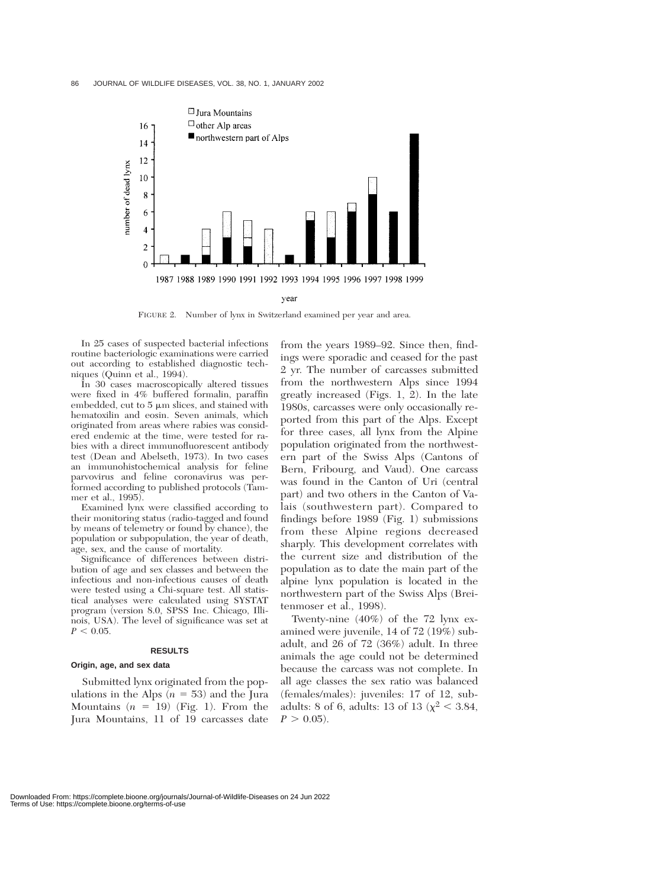

FIGURE 2. Number of lynx in Switzerland examined per year and area.

In 25 cases of suspected bacterial infections routine bacteriologic examinations were carried out according to established diagnostic techniques (Quinn et al., 1994).

In 30 cases macroscopically altered tissues were fixed in 4% buffered formalin, paraffin embedded, cut to  $5 \mu m$  slices, and stained with hematoxilin and eosin. Seven animals, which originated from areas where rabies was considered endemic at the time, were tested for rabies with a direct immunofluorescent antibody test (Dean and Abelseth, 1973). In two cases an immunohistochemical analysis for feline parvovirus and feline coronavirus was performed according to published protocols (Tammer et al., 1995).

Examined lynx were classified according to their monitoring status (radio-tagged and found by means of telemetry or found by chance), the population or subpopulation, the year of death, age, sex, and the cause of mortality.

Significance of differences between distribution of age and sex classes and between the infectious and non-infectious causes of death were tested using a Chi-square test. All statistical analyses were calculated using SYSTAT program (version 8.0, SPSS Inc. Chicago, Illinois, USA). The level of significance was set at  $P < 0.05$ .

#### **RESULTS**

#### **Origin, age, and sex data**

Submitted lynx originated from the populations in the Alps  $(n = 53)$  and the Jura Mountains  $(n = 19)$  (Fig. 1). From the Jura Mountains, 11 of 19 carcasses date

from the years 1989–92. Since then, findings were sporadic and ceased for the past 2 yr. The number of carcasses submitted from the northwestern Alps since 1994 greatly increased (Figs. 1, 2). In the late 1980s, carcasses were only occasionally reported from this part of the Alps. Except for three cases, all lynx from the Alpine population originated from the northwestern part of the Swiss Alps (Cantons of Bern, Fribourg, and Vaud). One carcass was found in the Canton of Uri (central part) and two others in the Canton of Valais (southwestern part). Compared to findings before 1989 (Fig. 1) submissions from these Alpine regions decreased sharply. This development correlates with the current size and distribution of the population as to date the main part of the alpine lynx population is located in the northwestern part of the Swiss Alps (Breitenmoser et al., 1998).

Twenty-nine (40%) of the 72 lynx examined were juvenile, 14 of 72 (19%) subadult, and 26 of 72 (36%) adult. In three animals the age could not be determined because the carcass was not complete. In all age classes the sex ratio was balanced (females/males): juveniles: 17 of 12, subadults: 8 of 6, adults: 13 of 13 ( $\chi^2$  < 3.84,  $P > 0.05$ .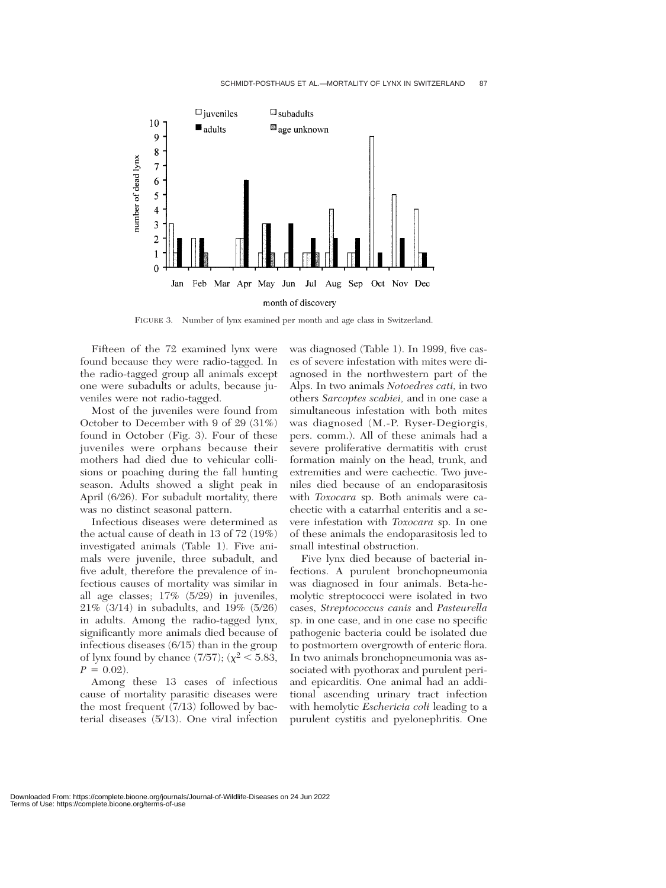

FIGURE 3. Number of lynx examined per month and age class in Switzerland.

Fifteen of the 72 examined lynx were found because they were radio-tagged. In the radio-tagged group all animals except one were subadults or adults, because juveniles were not radio-tagged.

Most of the juveniles were found from October to December with 9 of 29 (31%) found in October (Fig. 3). Four of these juveniles were orphans because their mothers had died due to vehicular collisions or poaching during the fall hunting season. Adults showed a slight peak in April (6/26). For subadult mortality, there was no distinct seasonal pattern.

Infectious diseases were determined as the actual cause of death in 13 of 72 (19%) investigated animals (Table 1). Five animals were juvenile, three subadult, and five adult, therefore the prevalence of infectious causes of mortality was similar in all age classes; 17% (5/29) in juveniles, 21% (3/14) in subadults, and 19% (5/26) in adults. Among the radio-tagged lynx, significantly more animals died because of infectious diseases (6/15) than in the group of lynx found by chance  $(7/57)$ ;  $(\chi^2 < 5.83)$ ,  $P = 0.02$ .

Among these 13 cases of infectious cause of mortality parasitic diseases were the most frequent (7/13) followed by bacterial diseases (5/13). One viral infection was diagnosed (Table 1). In 1999, five cases of severe infestation with mites were diagnosed in the northwestern part of the Alps. In two animals *Notoedres cati,* in two others *Sarcoptes scabiei,* and in one case a simultaneous infestation with both mites was diagnosed (M.-P. Ryser-Degiorgis, pers. comm.). All of these animals had a severe proliferative dermatitis with crust formation mainly on the head, trunk, and extremities and were cachectic. Two juveniles died because of an endoparasitosis with *Toxocara* sp. Both animals were cachectic with a catarrhal enteritis and a severe infestation with *Toxocara* sp. In one of these animals the endoparasitosis led to small intestinal obstruction.

Five lynx died because of bacterial infections. A purulent bronchopneumonia was diagnosed in four animals. Beta-hemolytic streptococci were isolated in two cases, *Streptococcus canis* and *Pasteurella* sp. in one case, and in one case no specific pathogenic bacteria could be isolated due to postmortem overgrowth of enteric flora. In two animals bronchopneumonia was associated with pyothorax and purulent periand epicarditis. One animal had an additional ascending urinary tract infection with hemolytic *Eschericia coli* leading to a purulent cystitis and pyelonephritis. One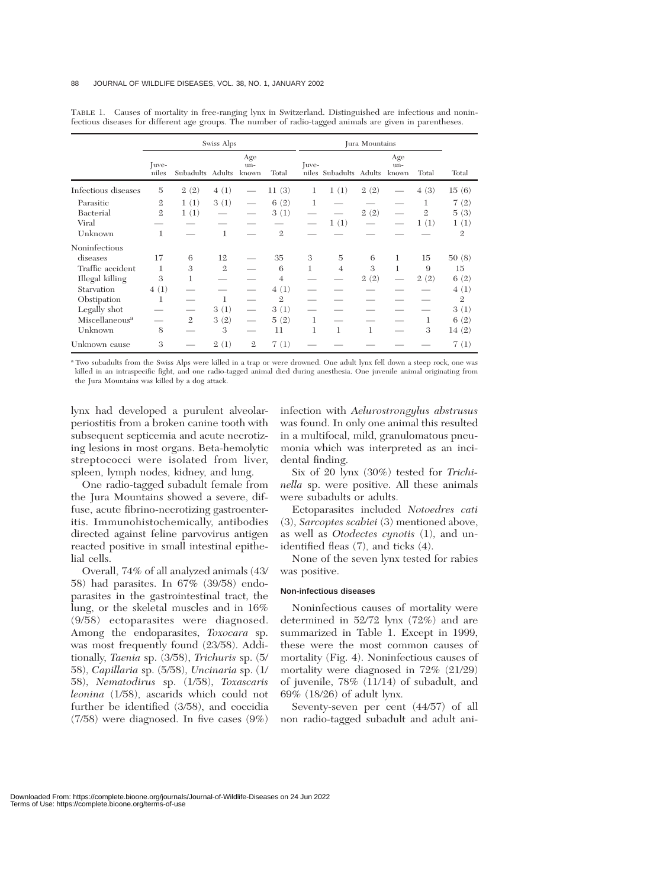|                            | Swiss Alps     |                  |                |                     |                | Jura Mountains |                        |      |                             |                |                |
|----------------------------|----------------|------------------|----------------|---------------------|----------------|----------------|------------------------|------|-----------------------------|----------------|----------------|
|                            | Juve-<br>niles | Subadults Adults |                | Age<br>un-<br>known | Total          | Juve-          | niles Subadults Adults |      | Age<br>$un-$<br>known       | Total          | Total          |
| Infectious diseases        | 5              | 2(2)             | 4(1)           |                     | 11(3)          | 1              | 1(1)                   | 2(2) |                             | 4(3)           | 15(6)          |
| Parasitic                  | $\mathbf{2}$   | 1(1)             | 3(1)           |                     | 6(2)           | 1              |                        |      |                             | 1              | 7(2)           |
| Bacterial                  | $\mathfrak{2}$ | 1(1)             |                |                     | 3(1)           |                |                        | 2(2) |                             | $\overline{2}$ | 5(3)           |
| Viral                      |                |                  |                |                     |                |                | 1(1)                   |      |                             | 1(1)           | 1(1)           |
| Unknown                    | 1              |                  | $\mathbf{1}$   |                     | $\mathfrak{2}$ |                |                        |      |                             |                | $\mathfrak{2}$ |
| Noninfectious              |                |                  |                |                     |                |                |                        |      |                             |                |                |
| diseases                   | 17             | 6                | 12             |                     | 35             | 3              | $\overline{5}$         | 6    | 1                           | 15             | 50(8)          |
| Traffic accident           | 1              | 3                | $\mathfrak{2}$ |                     | 6              | 1              | $\overline{4}$         | 3    | 1                           | 9              | 15             |
| Illegal killing            | 3              | 1                |                |                     | $\overline{4}$ |                |                        | 2(2) | $\overbrace{\hspace{15em}}$ | 2(2)           | 6(2)           |
| Starvation                 | 4(1)           |                  |                |                     | 4(1)           |                |                        |      |                             |                | 4(1)           |
| Obstipation                | 1              |                  | 1              |                     | $\mathfrak{2}$ |                |                        |      |                             |                | $\mathfrak{2}$ |
| Legally shot               |                |                  | 3(1)           |                     | 3(1)           |                |                        |      |                             |                | 3(1)           |
| Miscellaneous <sup>a</sup> |                | $\mathfrak{2}$   | 3(2)           |                     | 5(2)           | 1              |                        |      |                             | 1              | 6(2)           |
| Unknown                    | 8              |                  | 3              |                     | 11             | 1              | 1                      | 1    |                             | 3              | 14(2)          |
| Unknown cause              | 3              |                  | 2(1)           | $\mathfrak{2}$      | 7(1)           |                |                        |      |                             |                | 7(1)           |

TABLE 1. Causes of mortality in free-ranging lynx in Switzerland. Distinguished are infectious and noninfectious diseases for different age groups. The number of radio-tagged animals are given in parentheses.

<sup>a</sup> Two subadults from the Swiss Alps were killed in a trap or were drowned. One adult lynx fell down a steep rock, one was killed in an intraspecific fight, and one radio-tagged animal died during anesthesia. One juvenile animal originating from the Jura Mountains was killed by a dog attack.

lynx had developed a purulent alveolarperiostitis from a broken canine tooth with subsequent septicemia and acute necrotizing lesions in most organs. Beta-hemolytic streptococci were isolated from liver, spleen, lymph nodes, kidney, and lung.

One radio-tagged subadult female from the Jura Mountains showed a severe, diffuse, acute fibrino-necrotizing gastroenteritis. Immunohistochemically, antibodies directed against feline parvovirus antigen reacted positive in small intestinal epithelial cells.

Overall, 74% of all analyzed animals (43/ 58) had parasites. In 67% (39/58) endoparasites in the gastrointestinal tract, the lung, or the skeletal muscles and in 16% (9/58) ectoparasites were diagnosed. Among the endoparasites, *Toxocara* sp. was most frequently found (23/58). Additionally, *Taenia* sp. (3/58), *Trichuris* sp. (5/ 58), *Capillaria* sp. (5/58), *Uncinaria* sp. (1/ 58), *Nematodirus* sp. (1/58), *Toxascaris leonina* (1/58), ascarids which could not further be identified (3/58), and coccidia (7/58) were diagnosed. In five cases (9%)

infection with *Aelurostrongylus abstrusus* was found. In only one animal this resulted in a multifocal, mild, granulomatous pneumonia which was interpreted as an incidental finding.

Six of 20 lynx (30%) tested for *Trichinella* sp. were positive. All these animals were subadults or adults.

Ectoparasites included *Notoedres cati* (3), *Sarcoptes scabiei* (3) mentioned above, as well as *Otodectes cynotis* (1), and unidentified fleas (7), and ticks (4).

None of the seven lynx tested for rabies was positive.

#### **Non-infectious diseases**

Noninfectious causes of mortality were determined in 52/72 lynx (72%) and are summarized in Table 1. Except in 1999, these were the most common causes of mortality (Fig. 4). Noninfectious causes of mortality were diagnosed in 72% (21/29) of juvenile, 78% (11/14) of subadult, and 69% (18/26) of adult lynx.

Seventy-seven per cent (44/57) of all non radio-tagged subadult and adult ani-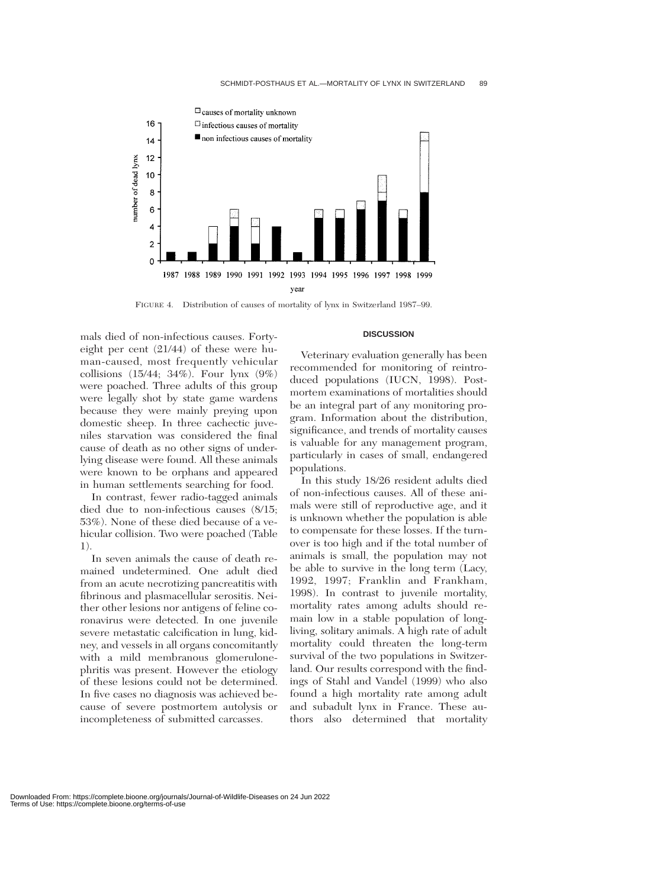

FIGURE 4. Distribution of causes of mortality of lynx in Switzerland 1987–99.

mals died of non-infectious causes. Fortyeight per cent (21/44) of these were human-caused, most frequently vehicular collisions (15/44; 34%). Four lynx (9%) were poached. Three adults of this group were legally shot by state game wardens because they were mainly preying upon domestic sheep. In three cachectic juveniles starvation was considered the final cause of death as no other signs of underlying disease were found. All these animals were known to be orphans and appeared in human settlements searching for food.

In contrast, fewer radio-tagged animals died due to non-infectious causes (8/15; 53%). None of these died because of a vehicular collision. Two were poached (Table 1).

In seven animals the cause of death remained undetermined. One adult died from an acute necrotizing pancreatitis with fibrinous and plasmacellular serositis. Neither other lesions nor antigens of feline coronavirus were detected. In one juvenile severe metastatic calcification in lung, kidney, and vessels in all organs concomitantly with a mild membranous glomerulonephritis was present. However the etiology of these lesions could not be determined. In five cases no diagnosis was achieved because of severe postmortem autolysis or incompleteness of submitted carcasses.

## **DISCUSSION**

Veterinary evaluation generally has been recommended for monitoring of reintroduced populations (IUCN, 1998). Postmortem examinations of mortalities should be an integral part of any monitoring program. Information about the distribution, significance, and trends of mortality causes is valuable for any management program, particularly in cases of small, endangered populations.

In this study 18/26 resident adults died of non-infectious causes. All of these animals were still of reproductive age, and it is unknown whether the population is able to compensate for these losses. If the turnover is too high and if the total number of animals is small, the population may not be able to survive in the long term (Lacy, 1992, 1997; Franklin and Frankham, 1998). In contrast to juvenile mortality, mortality rates among adults should remain low in a stable population of longliving, solitary animals. A high rate of adult mortality could threaten the long-term survival of the two populations in Switzerland. Our results correspond with the findings of Stahl and Vandel (1999) who also found a high mortality rate among adult and subadult lynx in France. These authors also determined that mortality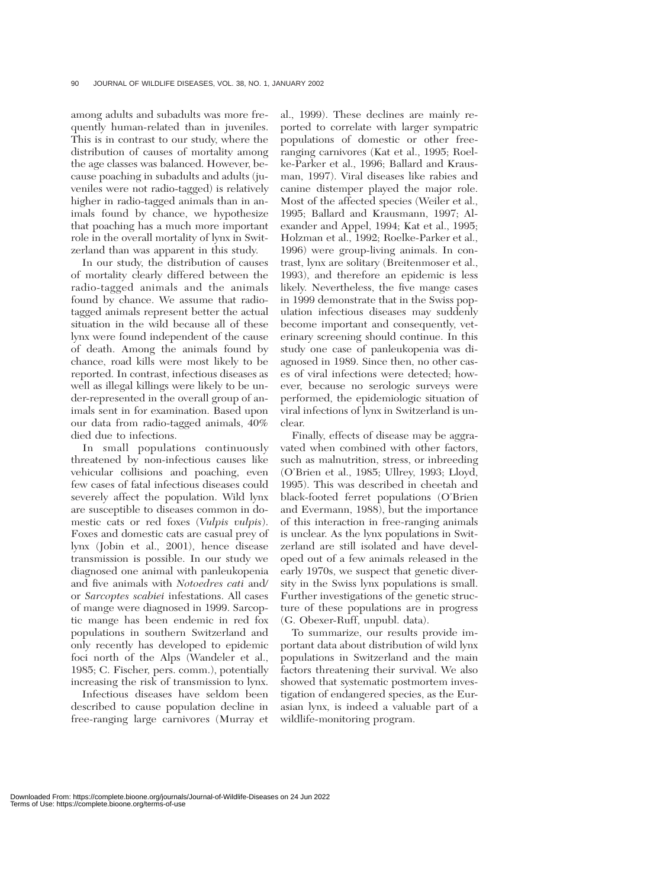among adults and subadults was more frequently human-related than in juveniles. This is in contrast to our study, where the distribution of causes of mortality among the age classes was balanced. However, because poaching in subadults and adults (juveniles were not radio-tagged) is relatively higher in radio-tagged animals than in animals found by chance, we hypothesize that poaching has a much more important role in the overall mortality of lynx in Switzerland than was apparent in this study.

In our study, the distribution of causes of mortality clearly differed between the radio-tagged animals and the animals found by chance. We assume that radiotagged animals represent better the actual situation in the wild because all of these lynx were found independent of the cause of death. Among the animals found by chance, road kills were most likely to be reported. In contrast, infectious diseases as well as illegal killings were likely to be under-represented in the overall group of animals sent in for examination. Based upon our data from radio-tagged animals, 40% died due to infections.

In small populations continuously threatened by non-infectious causes like vehicular collisions and poaching, even few cases of fatal infectious diseases could severely affect the population. Wild lynx are susceptible to diseases common in domestic cats or red foxes (*Vulpis vulpis*). Foxes and domestic cats are casual prey of lynx (Jobin et al., 2001), hence disease transmission is possible. In our study we diagnosed one animal with panleukopenia and five animals with *Notoedres cati* and/ or *Sarcoptes scabiei* infestations. All cases of mange were diagnosed in 1999. Sarcoptic mange has been endemic in red fox populations in southern Switzerland and only recently has developed to epidemic foci north of the Alps (Wandeler et al., 1985; C. Fischer, pers. comm.), potentially increasing the risk of transmission to lynx.

Infectious diseases have seldom been described to cause population decline in free-ranging large carnivores (Murray et

al., 1999). These declines are mainly reported to correlate with larger sympatric populations of domestic or other freeranging carnivores (Kat et al., 1995; Roelke-Parker et al., 1996; Ballard and Krausman, 1997). Viral diseases like rabies and canine distemper played the major role. Most of the affected species (Weiler et al., 1995; Ballard and Krausmann, 1997; Alexander and Appel, 1994; Kat et al., 1995; Holzman et al., 1992; Roelke-Parker et al., 1996) were group-living animals. In contrast, lynx are solitary (Breitenmoser et al., 1993), and therefore an epidemic is less likely. Nevertheless, the five mange cases in 1999 demonstrate that in the Swiss population infectious diseases may suddenly become important and consequently, veterinary screening should continue. In this study one case of panleukopenia was diagnosed in 1989. Since then, no other cases of viral infections were detected; however, because no serologic surveys were performed, the epidemiologic situation of viral infections of lynx in Switzerland is unclear.

Finally, effects of disease may be aggravated when combined with other factors, such as malnutrition, stress, or inbreeding (O'Brien et al., 1985; Ullrey, 1993; Lloyd, 1995). This was described in cheetah and black-footed ferret populations (O'Brien and Evermann, 1988), but the importance of this interaction in free-ranging animals is unclear. As the lynx populations in Switzerland are still isolated and have developed out of a few animals released in the early 1970s, we suspect that genetic diversity in the Swiss lynx populations is small. Further investigations of the genetic structure of these populations are in progress (G. Obexer-Ruff, unpubl. data).

To summarize, our results provide important data about distribution of wild lynx populations in Switzerland and the main factors threatening their survival. We also showed that systematic postmortem investigation of endangered species, as the Eurasian lynx, is indeed a valuable part of a wildlife-monitoring program.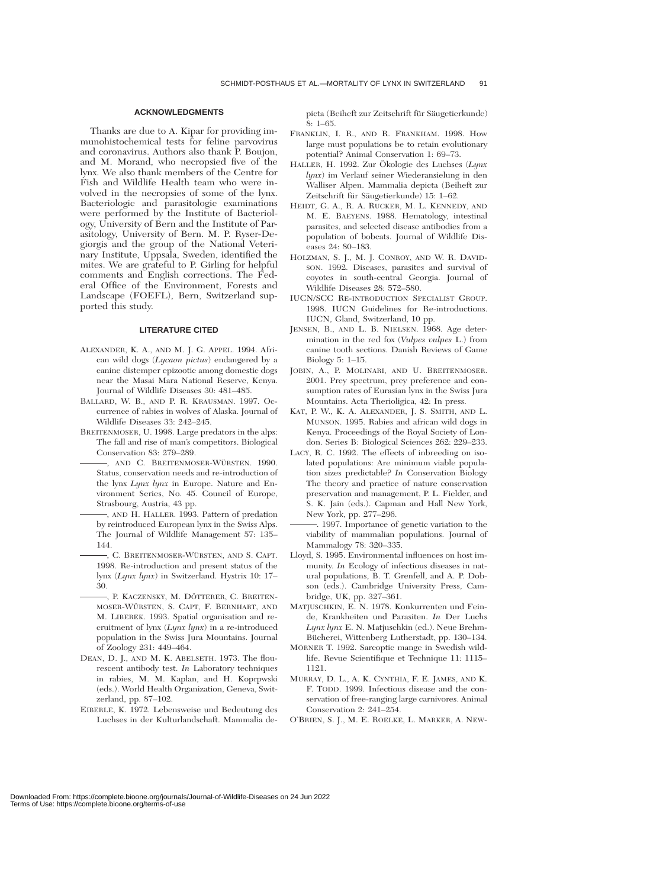#### **ACKNOWLEDGMENTS**

Thanks are due to A. Kipar for providing immunohistochemical tests for feline parvovirus and coronavirus. Authors also thank P. Boujon, and M. Morand, who necropsied five of the lynx. We also thank members of the Centre for Fish and Wildlife Health team who were involved in the necropsies of some of the lynx. Bacteriologic and parasitologic examinations were performed by the Institute of Bacteriology, University of Bern and the Institute of Parasitology, University of Bern. M. P. Ryser-Degiorgis and the group of the National Veterinary Institute, Uppsala, Sweden, identified the mites. We are grateful to P. Girling for helpful comments and English corrections. The Federal Office of the Environment, Forests and Landscape (FOEFL), Bern, Switzerland supported this study.

#### **LITERATURE CITED**

- ALEXANDER, K. A., AND M. J. G. APPEL. 1994. African wild dogs (*Lycaon pictus*) endangered by a canine distemper epizootic among domestic dogs near the Masai Mara National Reserve, Kenya. Journal of Wildlife Diseases 30: 481–485.
- BALLARD, W. B., AND P. R. KRAUSMAN. 1997. Occurrence of rabies in wolves of Alaska. Journal of Wildlife Diseases 33: 242–245.
- BREITENMOSER, U. 1998. Large predators in the alps: The fall and rise of man's competitors. Biological Conservation 83: 279–289.
- , AND C. BREITENMOSER-WÜRSTEN. 1990. Status, conservation needs and re-introduction of the lynx *Lynx lynx* in Europe. Nature and Environment Series, No. 45. Council of Europe, Strasbourg, Austria, 43 pp.
- , AND H. HALLER. 1993. Pattern of predation by reintroduced European lynx in the Swiss Alps. The Journal of Wildlife Management 57: 135– 144.
- , C. BREITENMOSER-WÜRSTEN, AND S. CAPT. 1998. Re-introduction and present status of the lynx (*Lynx lynx*) in Switzerland. Hystrix 10: 17– 30.
- , P. KACZENSKY, M. DÖTTERER, C. BREITEN-MOSER-WÜRSTEN, S. CAPT, F. BERNHART, AND M. LIBEREK. 1993. Spatial organisation and recruitment of lynx (*Lynx lynx*) in a re-introduced population in the Swiss Jura Mountains. Journal of Zoology 231: 449–464.
- DEAN, D. J., AND M. K. ABELSETH. 1973. The flourescent antibody test. *In* Laboratory techniques in rabies, M. M. Kaplan, and H. Koprpwski (eds.). World Health Organization, Geneva, Switzerland, pp. 87–102.
- EIBERLE, K. 1972. Lebensweise und Bedeutung des Luchses in der Kulturlandschaft. Mammalia de-

picta (Beiheft zur Zeitschrift für Säugetierkunde) 8: 1–65.

- FRANKLIN, I. R., AND R. FRANKHAM. 1998. How large must populations be to retain evolutionary potential? Animal Conservation 1: 69–73.
- HALLER, H. 1992. Zur Ökologie des Luchses (Lynx *lynx*) im Verlauf seiner Wiederansielung in den Walliser Alpen. Mammalia depicta (Beiheft zur Zeitschrift für Säugetierkunde) 15: 1–62.
- HEIDT, G. A., R. A. RUCKER, M. L. KENNEDY, AND M. E. BAEYENS. 1988. Hematology, intestinal parasites, and selected disease antibodies from a population of bobcats. Journal of Wildlife Diseases 24: 80–183.
- HOLZMAN, S. J., M. J. CONROY, AND W. R. DAVID-SON. 1992. Diseases, parasites and survival of coyotes in south-central Georgia. Journal of Wildlife Diseases 28: 572–580.
- IUCN/SCC RE-INTRODUCTION SPECIALIST GROUP. 1998. IUCN Guidelines for Re-introductions. IUCN, Gland, Switzerland, 10 pp.
- JENSEN, B., AND L. B. NIELSEN. 1968. Age determination in the red fox (*Vulpes vulpes* L.) from canine tooth sections. Danish Reviews of Game Biology 5: 1–15.
- JOBIN, A., P. MOLINARI, AND U. BREITENMOSER. 2001. Prey spectrum, prey preference and consumption rates of Eurasian lynx in the Swiss Jura Mountains. Acta Therioligica, 42: In press.
- KAT, P. W., K. A. ALEXANDER, J. S. SMITH, AND L. MUNSON. 1995. Rabies and african wild dogs in Kenya. Proceedings of the Royal Society of London. Series B: Biological Sciences 262: 229–233.
- LACY, R. C. 1992. The effects of inbreeding on isolated populations: Are minimum viable population sizes predictable? *In* Conservation Biology The theory and practice of nature conservation preservation and management, P. L. Fielder, and S. K. Jain (eds.). Capman and Hall New York, New York, pp. 277–296.
- . 1997. Importance of genetic variation to the viability of mammalian populations. Journal of Mammalogy 78: 320–335.
- Lloyd, S. 1995. Environmental influences on host immunity. *In* Ecology of infectious diseases in natural populations, B. T. Grenfell, and A. P. Dobson (eds.). Cambridge University Press, Cambridge, UK, pp. 327–361.
- MATJUSCHKIN, E. N. 1978. Konkurrenten und Feinde, Krankheiten und Parasiten. *In* Der Luchs *Lynx lynx* E. N. Matjuschkin (ed.). Neue Brehm-Bücherei, Wittenberg Lutherstadt, pp. 130-134.
- MÖRNER T. 1992. Sarcoptic mange in Swedish wildlife. Revue Scientifique et Technique 11: 1115– 1121.
- MURRAY, D. L., A. K. CYNTHIA, F. E. JAMES, AND K. F. TODD. 1999. Infectious disease and the conservation of free-ranging large carnivores. Animal Conservation 2: 241–254.
- O'BRIEN, S. J., M. E. ROELKE, L. MARKER, A. NEW-